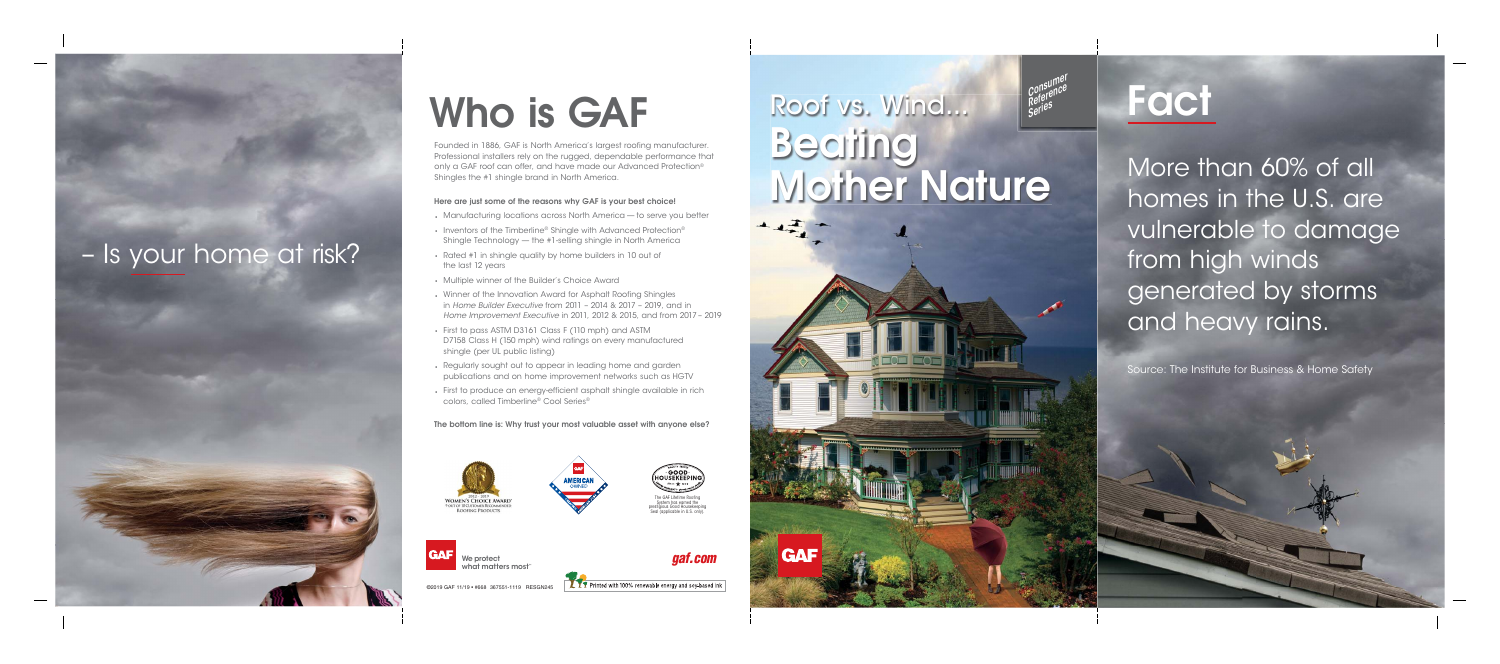#### ©2019 GAF 11/19 • #668 367551-1119 RESGN245

**TY** Printed with 100% renewable energy and soy-based ink

Founded in 1886, GAF is North America's largest roofing<br>Professional installers rely on the rugged, dependable poply a GAF roof can offer and baye made our Advance Founded in 1886, GAF is North America's largest roofing manufacturer. Professional installers rely on the rugged, dependable performance that only a GAF roof can offer, and have made our Advanced Protection® Shingles the #1 shingle brand in North America.

#### **Here are just some of the reasons why GAF is your best choice!**

## Roof vs. Wind... **Mother Mother Nature 1** Consumer<br>Consumer Co<sup>nsurr</sup>ce<br>Reference R<sup>erg</sup>es<br>Seri<sup>es</sup>

- Manufacturing locations across North America to serve you better
- Inventors of the Timberline® Shingle with Advanced Protection® Shingle Technology — the #1-selling shingle in North America
- Rated #1 in shingle quality by home builders in 10 out of the last 12 years
- Multiple winner of the Builder's Choice Award
- Winner of the Innovation Award for Asphalt Roofing Shingles in Home Builder Executive from 2011 – 2014 & 2017 – 2019, and in Home Improvement Executive in 2011, 2012 & 2015, and from 2017 – 2019
- First to pass ASTM D3161 Class F (110 mph) and ASTM D7158 Class H (150 mph) wind ratings on every manufactured shingle (per UL public listing)
- Regularly sought out to appear in leading home and garden publications and on home improvement networks such as HGTV
- First to produce an energy-efficient asphalt shingle available in rich colors, called Timberline® Cool Series®

**The bottom line is: Why trust your most valuable asset with anyone else?**



**GAF** 





Seal (applicable in U.S. only).

GAF

# – Is your home at risk?



More than 60% of all homes in the U.S. are vulnerable to damage from high winds generated by storms and heavy rains.

Source: The Institute for Business & Home Safety